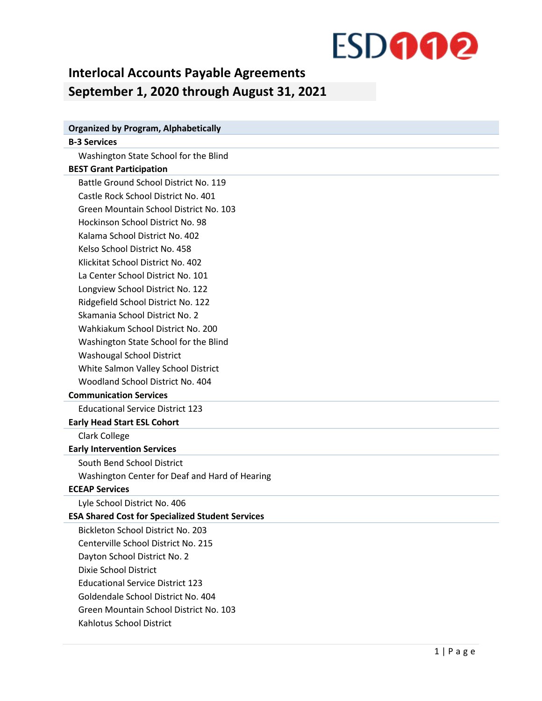### **ESDOOO**

### **Interlocal Accounts Payable Agreements September 1, 2020 through August 31, 2021**

| <b>Organized by Program, Alphabetically</b>             |
|---------------------------------------------------------|
| <b>B-3 Services</b>                                     |
| Washington State School for the Blind                   |
| <b>BEST Grant Participation</b>                         |
| Battle Ground School District No. 119                   |
| Castle Rock School District No. 401                     |
| Green Mountain School District No. 103                  |
| Hockinson School District No. 98                        |
| Kalama School District No. 402                          |
| Kelso School District No. 458                           |
| Klickitat School District No. 402                       |
| La Center School District No. 101                       |
| Longview School District No. 122                        |
| Ridgefield School District No. 122                      |
| Skamania School District No. 2                          |
| Wahkiakum School District No. 200                       |
| Washington State School for the Blind                   |
| Washougal School District                               |
| White Salmon Valley School District                     |
| Woodland School District No. 404                        |
| <b>Communication Services</b>                           |
| <b>Educational Service District 123</b>                 |
| <b>Early Head Start ESL Cohort</b>                      |
| Clark College                                           |
| <b>Early Intervention Services</b>                      |
| South Bend School District                              |
| Washington Center for Deaf and Hard of Hearing          |
| <b>ECEAP Services</b>                                   |
| Lyle School District No. 406                            |
| <b>ESA Shared Cost for Specialized Student Services</b> |
| <b>Bickleton School District No. 203</b>                |
| Centerville School District No. 215                     |
| Dayton School District No. 2                            |
| <b>Dixie School District</b>                            |
| <b>Educational Service District 123</b>                 |
| Goldendale School District No. 404                      |
| Green Mountain School District No. 103                  |
| Kahlotus School District                                |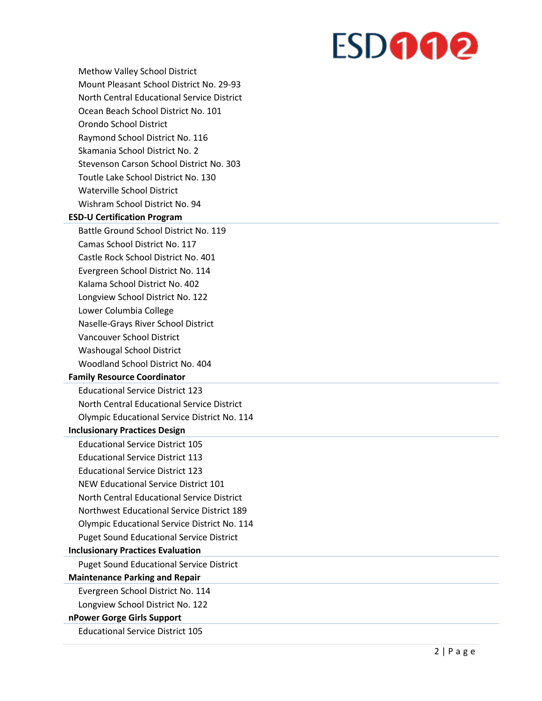# **ESDOGO**

- Methow Valley School District Mount Pleasant School District No. 29 -93 North Central Educational Service District Ocean Beach School District No. 101 Orondo School District Raymond School District No. 116 Skamania School District No. 2 Stevenson Carson School District No. 303 Toutle Lake School District No. 130 Waterville School District
- Wishram School District No. 94

#### **ESD -U Certification Program**

Battle Ground School District No. 119 Camas School District No. 117 Castle Rock School District No. 401 Evergreen School District No. 114 Kalama School District No. 402 Longview School District No. 122 Lower Columbia College Naselle -Grays River School District Vancouver School District Washougal School District

Woodland School District No. 404

#### **Family Resource Coordinator**

Educational Service District 123 North Central Educational Service District Olympic Educational Service District No. 114

#### **Inclusionary Practices Design**

Educational Service District 105 Educational Service District 113 Educational Service District 123 NEW Educational Service District 101 North Central Educational Service District Northwest Educational Service District 189 Olympic Educational Service District No. 114 Puget Sound Educational Service District

#### **Inclusionary Practices Evaluation**

Puget Sound Educational Service District

#### **Maintenance Parking and Repair**

Evergreen School District No. 114

Longview School District No. 122

#### **nPower Gorge Girls Support**

Educational Service District 105